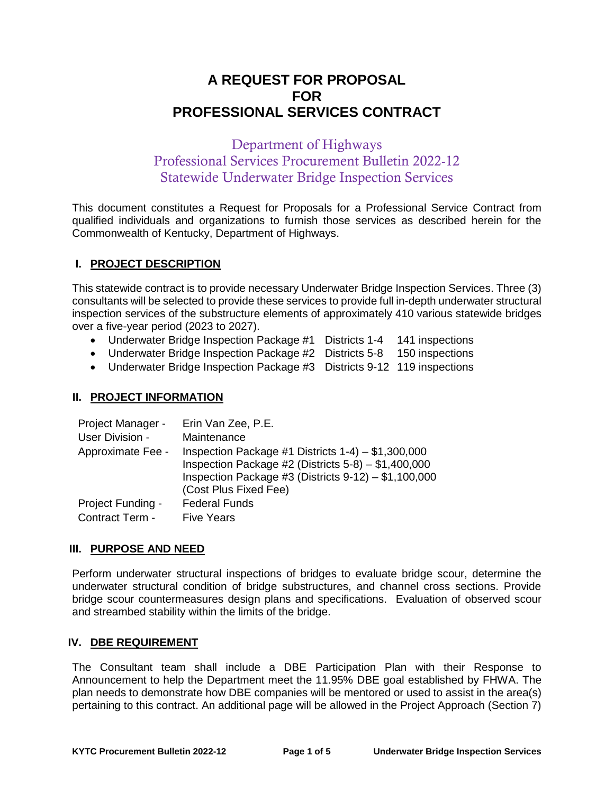# **A REQUEST FOR PROPOSAL FOR PROFESSIONAL SERVICES CONTRACT**

# Department of Highways Professional Services Procurement Bulletin 2022-12 Statewide Underwater Bridge Inspection Services

This document constitutes a Request for Proposals for a Professional Service Contract from qualified individuals and organizations to furnish those services as described herein for the Commonwealth of Kentucky, Department of Highways.

# **I. PROJECT DESCRIPTION**

This statewide contract is to provide necessary Underwater Bridge Inspection Services. Three (3) consultants will be selected to provide these services to provide full in-depth underwater structural inspection services of the substructure elements of approximately 410 various statewide bridges over a five-year period (2023 to 2027).

- Underwater Bridge Inspection Package #1 Districts 1-4 141 inspections
- Underwater Bridge Inspection Package #2 Districts 5-8 150 inspections
- Underwater Bridge Inspection Package #3 Districts 9-12 119 inspections

# **II. PROJECT INFORMATION**

| Project Manager - | Erin Van Zee, P.E.                                                                                                                                                                                  |
|-------------------|-----------------------------------------------------------------------------------------------------------------------------------------------------------------------------------------------------|
| User Division -   | Maintenance                                                                                                                                                                                         |
| Approximate Fee - | Inspection Package #1 Districts $1-4$ ) - \$1,300,000<br>Inspection Package #2 (Districts $5-8$ ) - \$1,400,000<br>Inspection Package #3 (Districts $9-12$ ) - \$1,100,000<br>(Cost Plus Fixed Fee) |
| Project Funding - | <b>Federal Funds</b>                                                                                                                                                                                |
| Contract Term -   | <b>Five Years</b>                                                                                                                                                                                   |

# **III. PURPOSE AND NEED**

Perform underwater structural inspections of bridges to evaluate bridge scour, determine the underwater structural condition of bridge substructures, and channel cross sections. Provide bridge scour countermeasures design plans and specifications. Evaluation of observed scour and streambed stability within the limits of the bridge.

# **IV. DBE REQUIREMENT**

The Consultant team shall include a DBE Participation Plan with their Response to Announcement to help the Department meet the 11.95% DBE goal established by FHWA. The plan needs to demonstrate how DBE companies will be mentored or used to assist in the area(s) pertaining to this contract. An additional page will be allowed in the Project Approach (Section 7)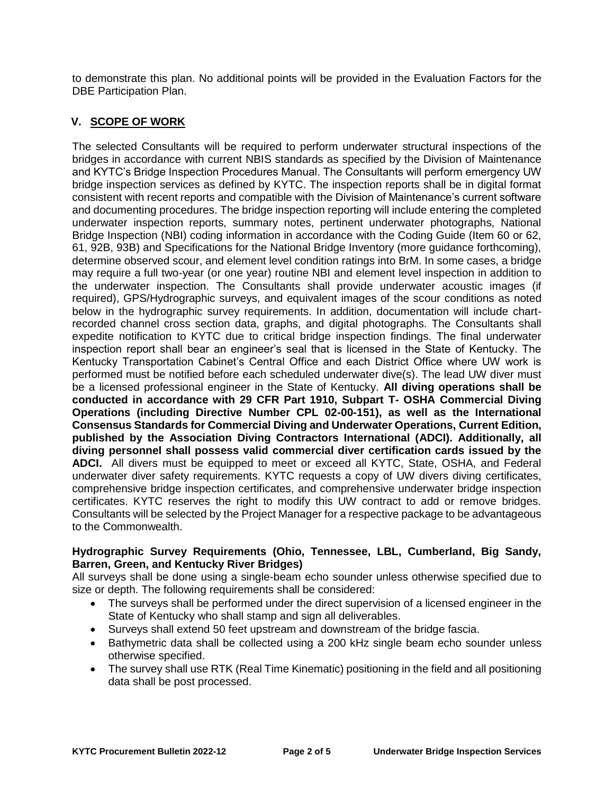to demonstrate this plan. No additional points will be provided in the Evaluation Factors for the DBE Participation Plan.

# **V. SCOPE OF WORK**

The selected Consultants will be required to perform underwater structural inspections of the bridges in accordance with current NBIS standards as specified by the Division of Maintenance and KYTC's Bridge Inspection Procedures Manual. The Consultants will perform emergency UW bridge inspection services as defined by KYTC. The inspection reports shall be in digital format consistent with recent reports and compatible with the Division of Maintenance's current software and documenting procedures. The bridge inspection reporting will include entering the completed underwater inspection reports, summary notes, pertinent underwater photographs, National Bridge Inspection (NBI) coding information in accordance with the Coding Guide (Item 60 or 62, 61, 92B, 93B) and Specifications for the National Bridge Inventory (more guidance forthcoming), determine observed scour, and element level condition ratings into BrM. In some cases, a bridge may require a full two-year (or one year) routine NBI and element level inspection in addition to the underwater inspection. The Consultants shall provide underwater acoustic images (if required), GPS/Hydrographic surveys, and equivalent images of the scour conditions as noted below in the hydrographic survey requirements. In addition, documentation will include chartrecorded channel cross section data, graphs, and digital photographs. The Consultants shall expedite notification to KYTC due to critical bridge inspection findings. The final underwater inspection report shall bear an engineer's seal that is licensed in the State of Kentucky. The Kentucky Transportation Cabinet's Central Office and each District Office where UW work is performed must be notified before each scheduled underwater dive(s). The lead UW diver must be a licensed professional engineer in the State of Kentucky. **All diving operations shall be conducted in accordance with 29 CFR Part 1910, Subpart T- OSHA Commercial Diving Operations (including Directive Number CPL 02-00-151), as well as the International Consensus Standards for Commercial Diving and Underwater Operations, Current Edition, published by the Association Diving Contractors International (ADCI). Additionally, all diving personnel shall possess valid commercial diver certification cards issued by the ADCI.** All divers must be equipped to meet or exceed all KYTC, State, OSHA, and Federal underwater diver safety requirements. KYTC requests a copy of UW divers diving certificates, comprehensive bridge inspection certificates, and comprehensive underwater bridge inspection certificates. KYTC reserves the right to modify this UW contract to add or remove bridges. Consultants will be selected by the Project Manager for a respective package to be advantageous to the Commonwealth.

#### **Hydrographic Survey Requirements (Ohio, Tennessee, LBL, Cumberland, Big Sandy, Barren, Green, and Kentucky River Bridges)**

All surveys shall be done using a single-beam echo sounder unless otherwise specified due to size or depth. The following requirements shall be considered:

- The surveys shall be performed under the direct supervision of a licensed engineer in the State of Kentucky who shall stamp and sign all deliverables.
- Surveys shall extend 50 feet upstream and downstream of the bridge fascia.
- Bathymetric data shall be collected using a 200 kHz single beam echo sounder unless otherwise specified.
- The survey shall use RTK (Real Time Kinematic) positioning in the field and all positioning data shall be post processed.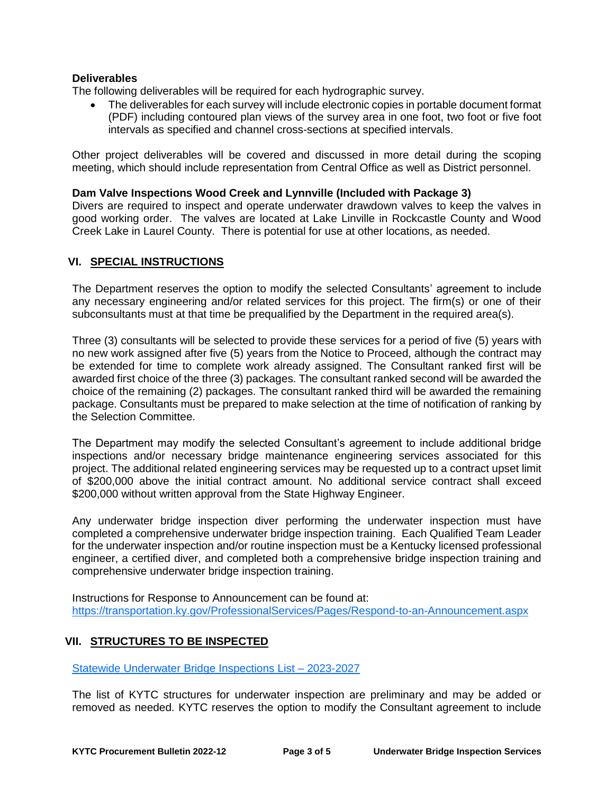# **Deliverables**

The following deliverables will be required for each hydrographic survey.

 The deliverables for each survey will include electronic copies in portable document format (PDF) including contoured plan views of the survey area in one foot, two foot or five foot intervals as specified and channel cross-sections at specified intervals.

Other project deliverables will be covered and discussed in more detail during the scoping meeting, which should include representation from Central Office as well as District personnel.

#### **Dam Valve Inspections Wood Creek and Lynnville (Included with Package 3)**

Divers are required to inspect and operate underwater drawdown valves to keep the valves in good working order. The valves are located at Lake Linville in Rockcastle County and Wood Creek Lake in Laurel County. There is potential for use at other locations, as needed.

#### **VI. SPECIAL INSTRUCTIONS**

The Department reserves the option to modify the selected Consultants' agreement to include any necessary engineering and/or related services for this project. The firm(s) or one of their subconsultants must at that time be prequalified by the Department in the required area(s).

Three (3) consultants will be selected to provide these services for a period of five (5) years with no new work assigned after five (5) years from the Notice to Proceed, although the contract may be extended for time to complete work already assigned. The Consultant ranked first will be awarded first choice of the three (3) packages. The consultant ranked second will be awarded the choice of the remaining (2) packages. The consultant ranked third will be awarded the remaining package. Consultants must be prepared to make selection at the time of notification of ranking by the Selection Committee.

The Department may modify the selected Consultant's agreement to include additional bridge inspections and/or necessary bridge maintenance engineering services associated for this project. The additional related engineering services may be requested up to a contract upset limit of \$200,000 above the initial contract amount. No additional service contract shall exceed \$200,000 without written approval from the State Highway Engineer.

Any underwater bridge inspection diver performing the underwater inspection must have completed a comprehensive underwater bridge inspection training. Each Qualified Team Leader for the underwater inspection and/or routine inspection must be a Kentucky licensed professional engineer, a certified diver, and completed both a comprehensive bridge inspection training and comprehensive underwater bridge inspection training.

Instructions for Response to Announcement can be found at: <https://transportation.ky.gov/ProfessionalServices/Pages/Respond-to-an-Announcement.aspx>

# **VII. STRUCTURES TO BE INSPECTED**

[Statewide Underwater Bridge Inspections List –](https://transportation.ky.gov/ProfessionalServices/Procurement%20Bulletins/2022-12%20(June%202022)/Statewide%20Underwater%20Bridge%20Inspections%20-%202023-2027.xlsx) 2023-2027

The list of KYTC structures for underwater inspection are preliminary and may be added or removed as needed. KYTC reserves the option to modify the Consultant agreement to include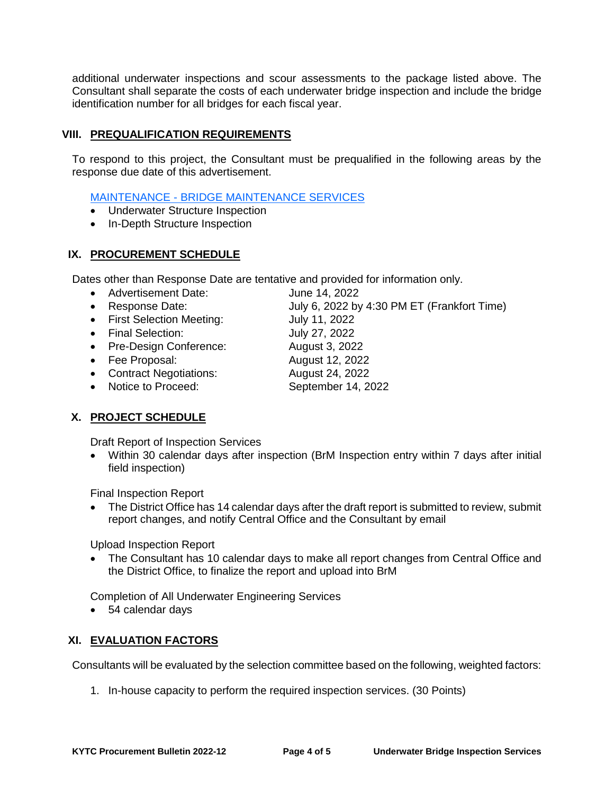additional underwater inspections and scour assessments to the package listed above. The Consultant shall separate the costs of each underwater bridge inspection and include the bridge identification number for all bridges for each fiscal year.

# **VIII. PREQUALIFICATION REQUIREMENTS**

To respond to this project, the Consultant must be prequalified in the following areas by the response due date of this advertisement.

# MAINTENANCE - [BRIDGE MAINTENANCE SERVICES](https://transportation.ky.gov/ProfessionalServices/Prequalified%20Firms/Maintenance%20-%20Bridge%20Maintenance%20Services.pdf)

- Underwater Structure Inspection
- In-Depth Structure Inspection

# **IX. PROCUREMENT SCHEDULE**

Dates other than Response Date are tentative and provided for information only.

- Advertisement Date: June 14, 2022
- Response Date: July 6, 2022 by 4:30 PM ET (Frankfort Time)
- First Selection Meeting: July 11, 2022
- Final Selection: July 27, 2022
- Pre-Design Conference: August 3, 2022
- Fee Proposal: August 12, 2022
- Contract Negotiations: August 24, 2022
- Notice to Proceed: September 14, 2022

**X. PROJECT SCHEDULE**

Draft Report of Inspection Services

 Within 30 calendar days after inspection (BrM Inspection entry within 7 days after initial field inspection)

Final Inspection Report

 The District Office has 14 calendar days after the draft report is submitted to review, submit report changes, and notify Central Office and the Consultant by email

Upload Inspection Report

 The Consultant has 10 calendar days to make all report changes from Central Office and the District Office, to finalize the report and upload into BrM

Completion of All Underwater Engineering Services

54 calendar days

# **XI. EVALUATION FACTORS**

Consultants will be evaluated by the selection committee based on the following, weighted factors:

1. In-house capacity to perform the required inspection services. (30 Points)